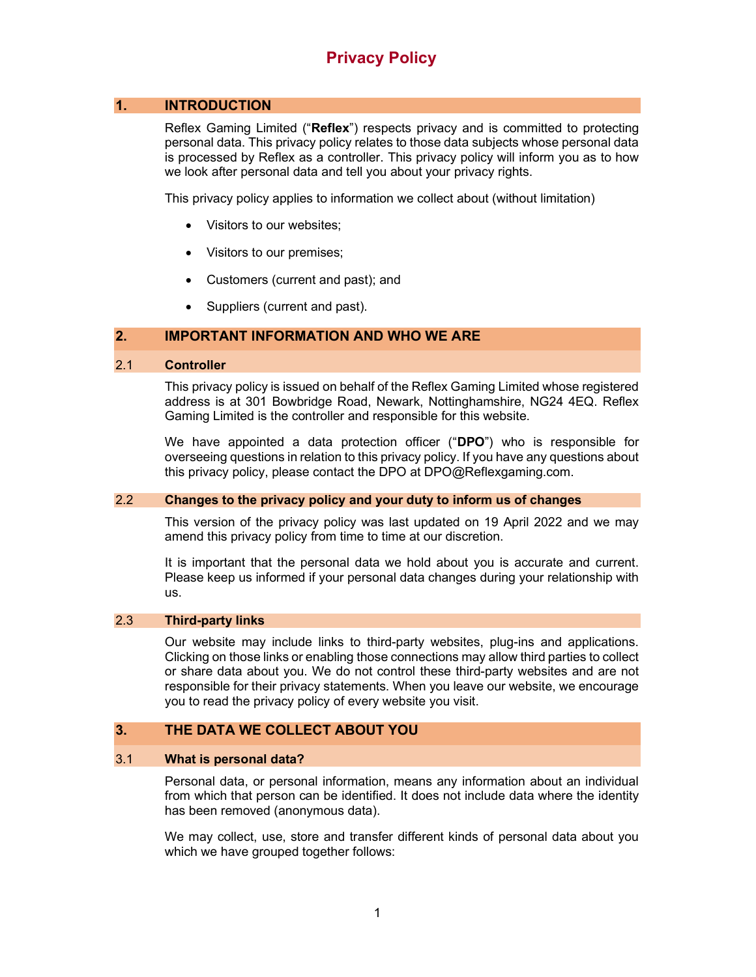# 1. INTRODUCTION

Reflex Gaming Limited ("Reflex") respects privacy and is committed to protecting personal data. This privacy policy relates to those data subjects whose personal data is processed by Reflex as a controller. This privacy policy will inform you as to how we look after personal data and tell you about your privacy rights.

This privacy policy applies to information we collect about (without limitation)

- Visitors to our websites;
- Visitors to our premises;
- Customers (current and past); and
- Suppliers (current and past).

# 2. IMPORTANT INFORMATION AND WHO WE ARE

#### 2.1 Controller

This privacy policy is issued on behalf of the Reflex Gaming Limited whose registered address is at 301 Bowbridge Road, Newark, Nottinghamshire, NG24 4EQ. Reflex Gaming Limited is the controller and responsible for this website.

We have appointed a data protection officer ("DPO") who is responsible for overseeing questions in relation to this privacy policy. If you have any questions about this privacy policy, please contact the DPO at DPO@Reflexgaming.com.

#### 2.2 Changes to the privacy policy and your duty to inform us of changes

This version of the privacy policy was last updated on 19 April 2022 and we may amend this privacy policy from time to time at our discretion.

It is important that the personal data we hold about you is accurate and current. Please keep us informed if your personal data changes during your relationship with us.

## 2.3 Third-party links

Our website may include links to third-party websites, plug-ins and applications. Clicking on those links or enabling those connections may allow third parties to collect or share data about you. We do not control these third-party websites and are not responsible for their privacy statements. When you leave our website, we encourage you to read the privacy policy of every website you visit.

# 3. THE DATA WE COLLECT ABOUT YOU

### 3.1 What is personal data?

Personal data, or personal information, means any information about an individual from which that person can be identified. It does not include data where the identity has been removed (anonymous data).

We may collect, use, store and transfer different kinds of personal data about you which we have grouped together follows: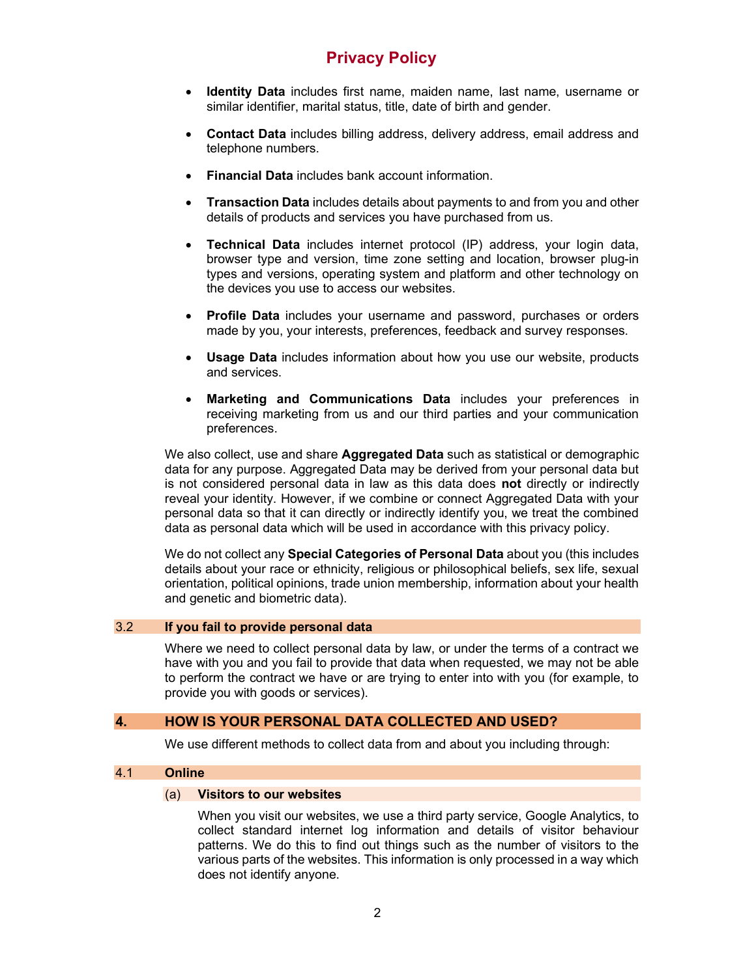- Identity Data includes first name, maiden name, last name, username or similar identifier, marital status, title, date of birth and gender.
- Contact Data includes billing address, delivery address, email address and telephone numbers.
- Financial Data includes bank account information.
- Transaction Data includes details about payments to and from you and other details of products and services you have purchased from us.
- Technical Data includes internet protocol (IP) address, your login data, browser type and version, time zone setting and location, browser plug-in types and versions, operating system and platform and other technology on the devices you use to access our websites.
- **Profile Data** includes your username and password, purchases or orders made by you, your interests, preferences, feedback and survey responses.
- Usage Data includes information about how you use our website, products and services.
- Marketing and Communications Data includes your preferences in receiving marketing from us and our third parties and your communication preferences.

We also collect, use and share **Aggregated Data** such as statistical or demographic data for any purpose. Aggregated Data may be derived from your personal data but is not considered personal data in law as this data does not directly or indirectly reveal your identity. However, if we combine or connect Aggregated Data with your personal data so that it can directly or indirectly identify you, we treat the combined data as personal data which will be used in accordance with this privacy policy.

We do not collect any Special Categories of Personal Data about you (this includes details about your race or ethnicity, religious or philosophical beliefs, sex life, sexual orientation, political opinions, trade union membership, information about your health and genetic and biometric data).

## 3.2 If you fail to provide personal data

Where we need to collect personal data by law, or under the terms of a contract we have with you and you fail to provide that data when requested, we may not be able to perform the contract we have or are trying to enter into with you (for example, to provide you with goods or services).

# 4. HOW IS YOUR PERSONAL DATA COLLECTED AND USED?

We use different methods to collect data from and about you including through:

# 4.1 Online

### (a) Visitors to our websites

When you visit our websites, we use a third party service, Google Analytics, to collect standard internet log information and details of visitor behaviour patterns. We do this to find out things such as the number of visitors to the various parts of the websites. This information is only processed in a way which does not identify anyone.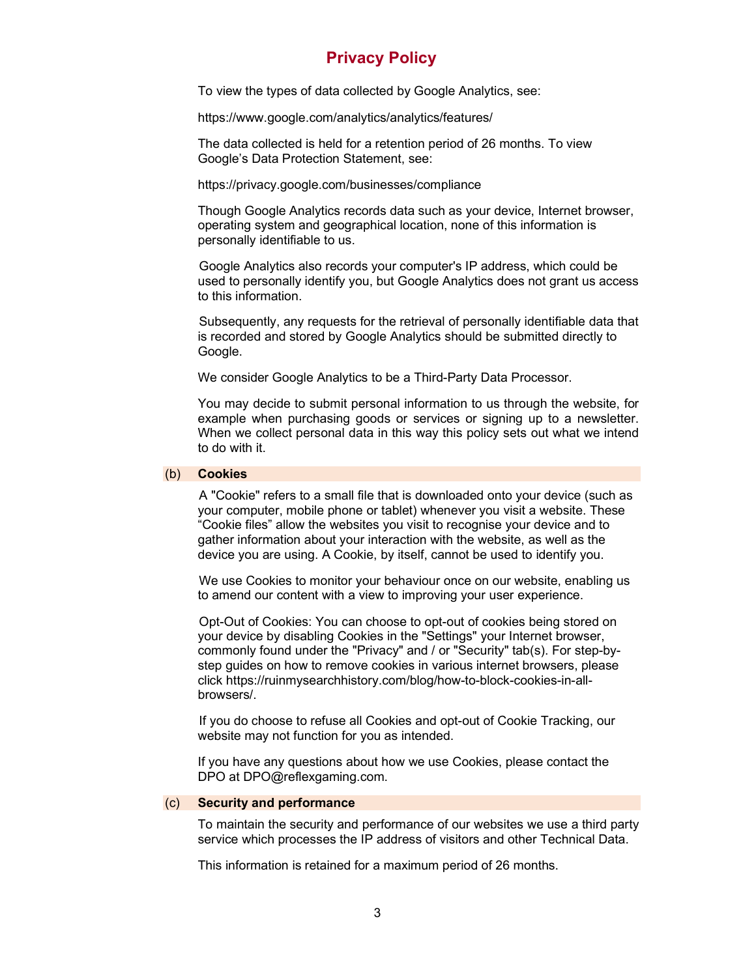To view the types of data collected by Google Analytics, see:

https://www.google.com/analytics/analytics/features/

The data collected is held for a retention period of 26 months. To view Google's Data Protection Statement, see:

https://privacy.google.com/businesses/compliance

Though Google Analytics records data such as your device, Internet browser, operating system and geographical location, none of this information is personally identifiable to us.

Google Analytics also records your computer's IP address, which could be used to personally identify you, but Google Analytics does not grant us access to this information.

Subsequently, any requests for the retrieval of personally identifiable data that is recorded and stored by Google Analytics should be submitted directly to Google.

We consider Google Analytics to be a Third-Party Data Processor.

You may decide to submit personal information to us through the website, for example when purchasing goods or services or signing up to a newsletter. When we collect personal data in this way this policy sets out what we intend to do with it.

## (b) Cookies

A "Cookie" refers to a small file that is downloaded onto your device (such as your computer, mobile phone or tablet) whenever you visit a website. These "Cookie files" allow the websites you visit to recognise your device and to gather information about your interaction with the website, as well as the device you are using. A Cookie, by itself, cannot be used to identify you.

We use Cookies to monitor your behaviour once on our website, enabling us to amend our content with a view to improving your user experience.

Opt-Out of Cookies: You can choose to opt-out of cookies being stored on your device by disabling Cookies in the "Settings" your Internet browser, commonly found under the "Privacy" and / or "Security" tab(s). For step-bystep guides on how to remove cookies in various internet browsers, please click https://ruinmysearchhistory.com/blog/how-to-block-cookies-in-allbrowsers/.

If you do choose to refuse all Cookies and opt-out of Cookie Tracking, our website may not function for you as intended.

If you have any questions about how we use Cookies, please contact the DPO at DPO@reflexgaming.com.

#### (c) Security and performance

To maintain the security and performance of our websites we use a third party service which processes the IP address of visitors and other Technical Data.

This information is retained for a maximum period of 26 months.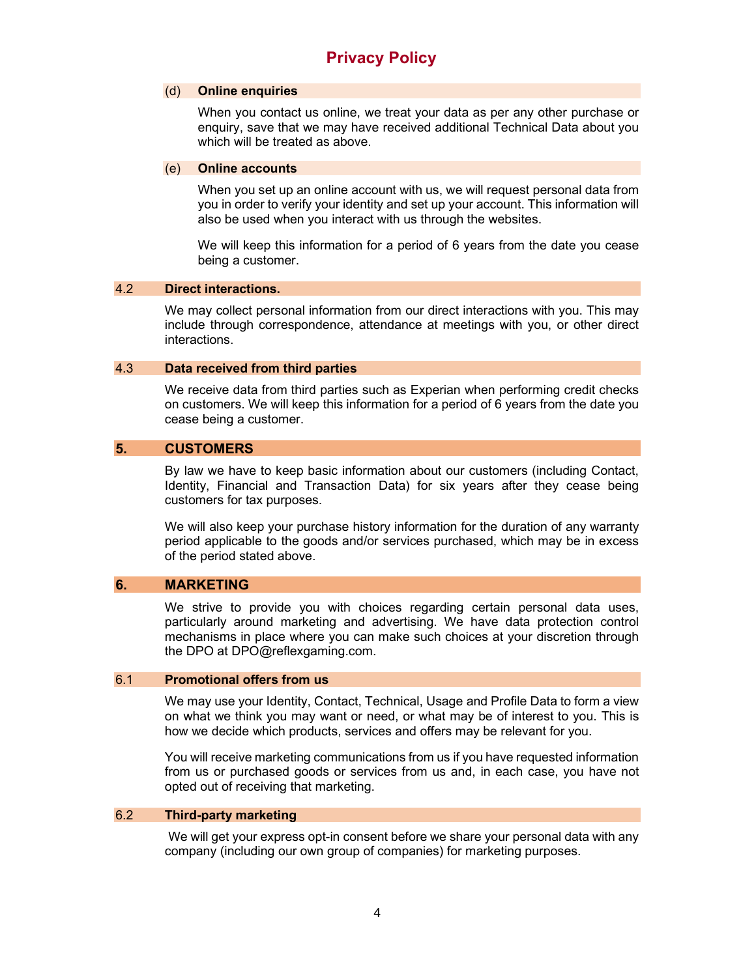#### (d) Online enquiries

When you contact us online, we treat your data as per any other purchase or enquiry, save that we may have received additional Technical Data about you which will be treated as above.

### (e) Online accounts

When you set up an online account with us, we will request personal data from you in order to verify your identity and set up your account. This information will also be used when you interact with us through the websites.

We will keep this information for a period of 6 years from the date you cease being a customer.

#### 4.2 Direct interactions.

We may collect personal information from our direct interactions with you. This may include through correspondence, attendance at meetings with you, or other direct interactions.

#### 4.3 Data received from third parties

We receive data from third parties such as Experian when performing credit checks on customers. We will keep this information for a period of 6 years from the date you cease being a customer.

# 5. CUSTOMERS

By law we have to keep basic information about our customers (including Contact, Identity, Financial and Transaction Data) for six years after they cease being customers for tax purposes.

We will also keep your purchase history information for the duration of any warranty period applicable to the goods and/or services purchased, which may be in excess of the period stated above.

### 6. MARKETING

We strive to provide you with choices regarding certain personal data uses, particularly around marketing and advertising. We have data protection control mechanisms in place where you can make such choices at your discretion through the DPO at DPO@reflexgaming.com.

### 6.1 Promotional offers from us

We may use your Identity, Contact, Technical, Usage and Profile Data to form a view on what we think you may want or need, or what may be of interest to you. This is how we decide which products, services and offers may be relevant for you.

You will receive marketing communications from us if you have requested information from us or purchased goods or services from us and, in each case, you have not opted out of receiving that marketing.

## 6.2 Third-party marketing

 We will get your express opt-in consent before we share your personal data with any company (including our own group of companies) for marketing purposes.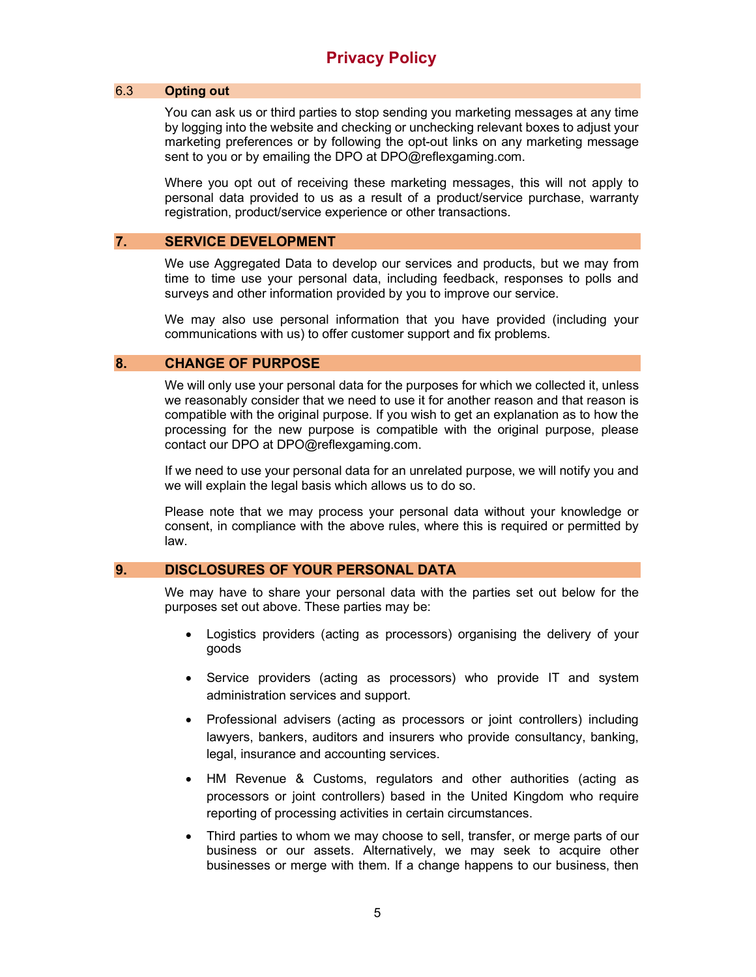## 6.3 Opting out

You can ask us or third parties to stop sending you marketing messages at any time by logging into the website and checking or unchecking relevant boxes to adjust your marketing preferences or by following the opt-out links on any marketing message sent to you or by emailing the DPO at DPO@reflexgaming.com.

Where you opt out of receiving these marketing messages, this will not apply to personal data provided to us as a result of a product/service purchase, warranty registration, product/service experience or other transactions.

## 7. SERVICE DEVELOPMENT

We use Aggregated Data to develop our services and products, but we may from time to time use your personal data, including feedback, responses to polls and surveys and other information provided by you to improve our service.

We may also use personal information that you have provided (including your communications with us) to offer customer support and fix problems.

# 8. CHANGE OF PURPOSE

We will only use your personal data for the purposes for which we collected it, unless we reasonably consider that we need to use it for another reason and that reason is compatible with the original purpose. If you wish to get an explanation as to how the processing for the new purpose is compatible with the original purpose, please contact our DPO at DPO@reflexgaming.com.

If we need to use your personal data for an unrelated purpose, we will notify you and we will explain the legal basis which allows us to do so.

Please note that we may process your personal data without your knowledge or consent, in compliance with the above rules, where this is required or permitted by law.

# 9. DISCLOSURES OF YOUR PERSONAL DATA

We may have to share your personal data with the parties set out below for the purposes set out above. These parties may be:

- Logistics providers (acting as processors) organising the delivery of your goods
- Service providers (acting as processors) who provide IT and system administration services and support.
- Professional advisers (acting as processors or joint controllers) including lawyers, bankers, auditors and insurers who provide consultancy, banking, legal, insurance and accounting services.
- HM Revenue & Customs, regulators and other authorities (acting as processors or joint controllers) based in the United Kingdom who require reporting of processing activities in certain circumstances.
- Third parties to whom we may choose to sell, transfer, or merge parts of our business or our assets. Alternatively, we may seek to acquire other businesses or merge with them. If a change happens to our business, then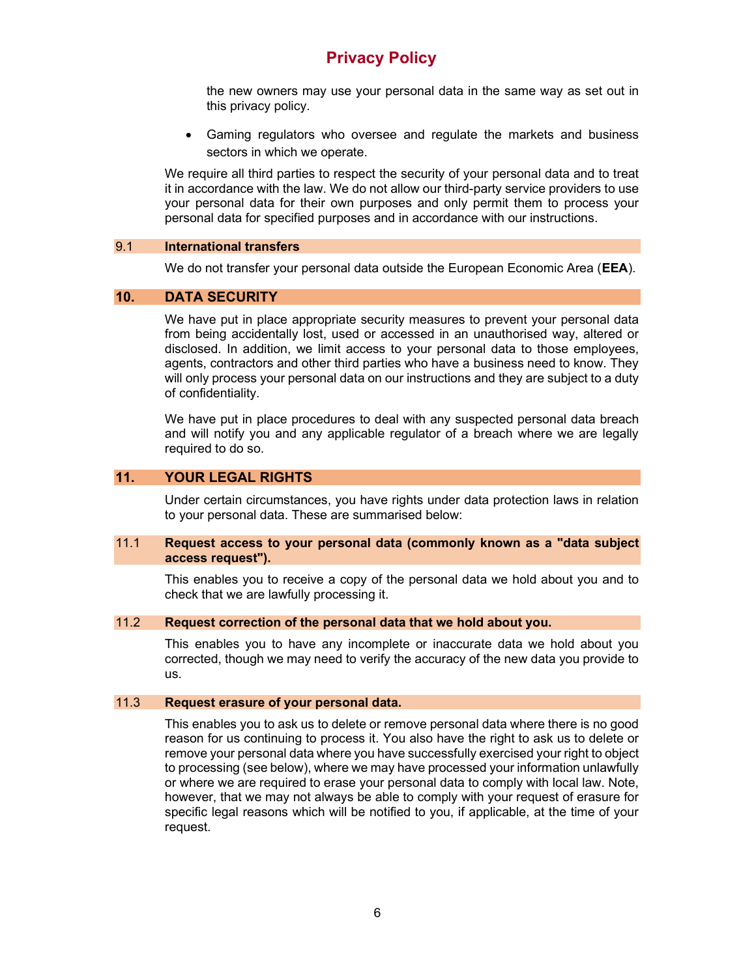the new owners may use your personal data in the same way as set out in this privacy policy.

 Gaming regulators who oversee and regulate the markets and business sectors in which we operate.

We require all third parties to respect the security of your personal data and to treat it in accordance with the law. We do not allow our third-party service providers to use your personal data for their own purposes and only permit them to process your personal data for specified purposes and in accordance with our instructions.

### 9.1 International transfers

We do not transfer your personal data outside the European Economic Area (**EEA**).

### 10. DATA SECURITY

We have put in place appropriate security measures to prevent your personal data from being accidentally lost, used or accessed in an unauthorised way, altered or disclosed. In addition, we limit access to your personal data to those employees, agents, contractors and other third parties who have a business need to know. They will only process your personal data on our instructions and they are subject to a duty of confidentiality.

We have put in place procedures to deal with any suspected personal data breach and will notify you and any applicable regulator of a breach where we are legally required to do so.

# 11. YOUR LEGAL RIGHTS

Under certain circumstances, you have rights under data protection laws in relation to your personal data. These are summarised below:

#### 11.1 Request access to your personal data (commonly known as a "data subject access request").

This enables you to receive a copy of the personal data we hold about you and to check that we are lawfully processing it.

#### 11.2 Request correction of the personal data that we hold about you.

This enables you to have any incomplete or inaccurate data we hold about you corrected, though we may need to verify the accuracy of the new data you provide to us.

#### 11.3 Request erasure of your personal data.

This enables you to ask us to delete or remove personal data where there is no good reason for us continuing to process it. You also have the right to ask us to delete or remove your personal data where you have successfully exercised your right to object to processing (see below), where we may have processed your information unlawfully or where we are required to erase your personal data to comply with local law. Note, however, that we may not always be able to comply with your request of erasure for specific legal reasons which will be notified to you, if applicable, at the time of your request.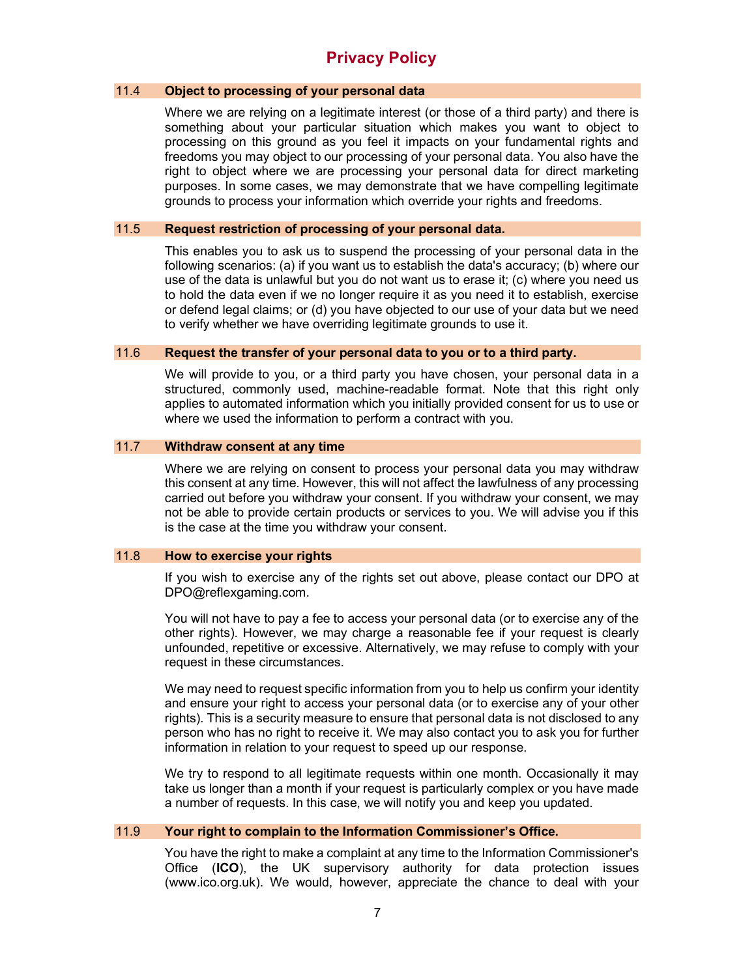#### 11.4 Object to processing of your personal data

Where we are relying on a legitimate interest (or those of a third party) and there is something about your particular situation which makes you want to object to processing on this ground as you feel it impacts on your fundamental rights and freedoms you may object to our processing of your personal data. You also have the right to object where we are processing your personal data for direct marketing purposes. In some cases, we may demonstrate that we have compelling legitimate grounds to process your information which override your rights and freedoms.

## 11.5 Request restriction of processing of your personal data.

This enables you to ask us to suspend the processing of your personal data in the following scenarios: (a) if you want us to establish the data's accuracy; (b) where our use of the data is unlawful but you do not want us to erase it; (c) where you need us to hold the data even if we no longer require it as you need it to establish, exercise or defend legal claims; or (d) you have objected to our use of your data but we need to verify whether we have overriding legitimate grounds to use it.

## 11.6 Request the transfer of your personal data to you or to a third party.

We will provide to you, or a third party you have chosen, your personal data in a structured, commonly used, machine-readable format. Note that this right only applies to automated information which you initially provided consent for us to use or where we used the information to perform a contract with you.

## 11.7 Withdraw consent at any time

Where we are relying on consent to process your personal data you may withdraw this consent at any time. However, this will not affect the lawfulness of any processing carried out before you withdraw your consent. If you withdraw your consent, we may not be able to provide certain products or services to you. We will advise you if this is the case at the time you withdraw your consent.

#### 11.8 How to exercise your rights

If you wish to exercise any of the rights set out above, please contact our DPO at DPO@reflexgaming.com.

You will not have to pay a fee to access your personal data (or to exercise any of the other rights). However, we may charge a reasonable fee if your request is clearly unfounded, repetitive or excessive. Alternatively, we may refuse to comply with your request in these circumstances.

We may need to request specific information from you to help us confirm your identity and ensure your right to access your personal data (or to exercise any of your other rights). This is a security measure to ensure that personal data is not disclosed to any person who has no right to receive it. We may also contact you to ask you for further information in relation to your request to speed up our response.

We try to respond to all legitimate requests within one month. Occasionally it may take us longer than a month if your request is particularly complex or you have made a number of requests. In this case, we will notify you and keep you updated.

### 11.9 Your right to complain to the Information Commissioner's Office.

You have the right to make a complaint at any time to the Information Commissioner's Office (ICO), the UK supervisory authority for data protection issues (www.ico.org.uk). We would, however, appreciate the chance to deal with your